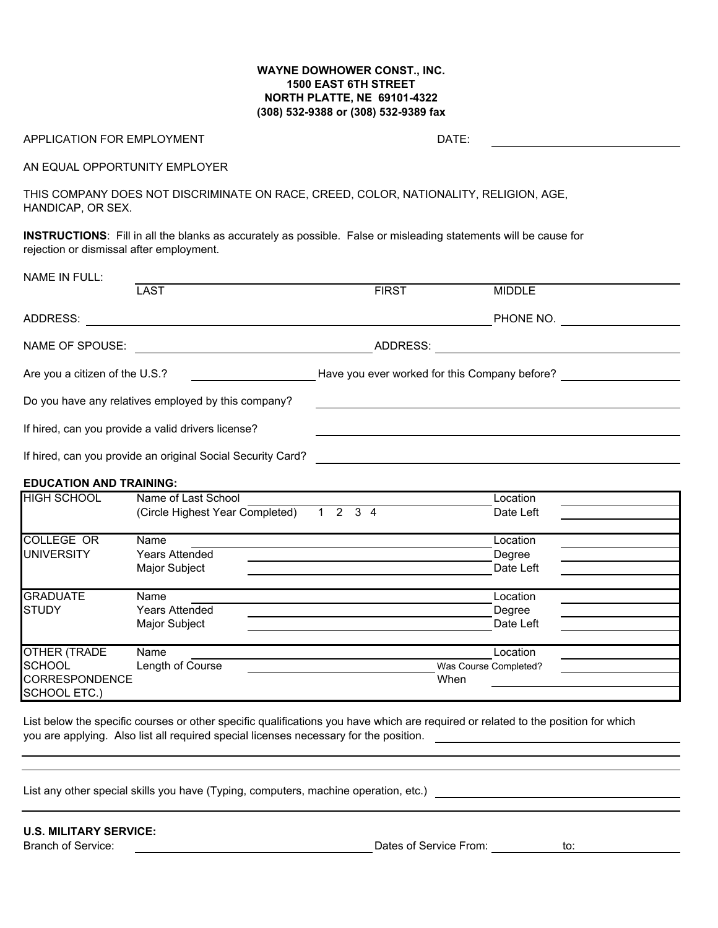## **WAYNE DOWHOWER CONST., INC. 1500 EAST 6TH STREET NORTH PLATTE, NE 69101-4322 (308) 532-9388 or (308) 532-9389 fax**

## APPLICATION FOR EMPLOYMENT AND RESERVE THE STATE:

<u> 1990 - Johann Barbara, martin a</u>

AN EQUAL OPPORTUNITY EMPLOYER

THIS COMPANY DOES NOT DISCRIMINATE ON RACE, CREED, COLOR, NATIONALITY, RELIGION, AGE, HANDICAP, OR SEX.

**INSTRUCTIONS**: Fill in all the blanks as accurately as possible. False or misleading statements will be cause for rejection or dismissal after employment.

| NAME IN FULL:                  |                                                             |                                               |               |
|--------------------------------|-------------------------------------------------------------|-----------------------------------------------|---------------|
|                                | <b>LAST</b>                                                 | <b>FIRST</b>                                  | <b>MIDDLE</b> |
| ADDRESS:                       |                                                             |                                               | PHONE NO.     |
| NAME OF SPOUSE:                |                                                             | ADDRESS:                                      |               |
| Are you a citizen of the U.S.? |                                                             | Have you ever worked for this Company before? |               |
|                                | Do you have any relatives employed by this company?         |                                               |               |
|                                | If hired, can you provide a valid drivers license?          |                                               |               |
|                                | If hired, can you provide an original Social Security Card? |                                               |               |

## **EDUCATION AND TRAINING:**

| <b>HIGH SCHOOL</b>                    | Name of Last School             | Location                         |                       |  |  |
|---------------------------------------|---------------------------------|----------------------------------|-----------------------|--|--|
|                                       | (Circle Highest Year Completed) | 3 <sub>4</sub><br>$\overline{2}$ | Date Left             |  |  |
|                                       |                                 |                                  |                       |  |  |
| <b>COLLEGE OR</b>                     | Name                            |                                  | Location              |  |  |
| <b>UNIVERSITY</b>                     | <b>Years Attended</b>           |                                  | Degree                |  |  |
|                                       | Major Subject                   |                                  | Date Left             |  |  |
| <b>GRADUATE</b>                       | Name                            |                                  | Location              |  |  |
| <b>ISTUDY</b>                         | <b>Years Attended</b>           |                                  | Degree                |  |  |
|                                       | Major Subject                   |                                  | Date Left             |  |  |
| OTHER (TRADE                          | Name                            |                                  | Location              |  |  |
| <b>SCHOOL</b>                         | Length of Course                |                                  | Was Course Completed? |  |  |
| <b>CORRESPONDENCE</b><br>SCHOOL ETC.) |                                 |                                  | When                  |  |  |

List below the specific courses or other specific qualifications you have which are required or related to the position for which you are applying. Also list all required special licenses necessary for the position.

List any other special skills you have (Typing, computers, machine operation, etc.) **computers** and the control of

**U.S. MILITARY SERVICE:**

Branch of Service: The Contract of Service From: The Contract of Service From: The Contract of Service From: to: